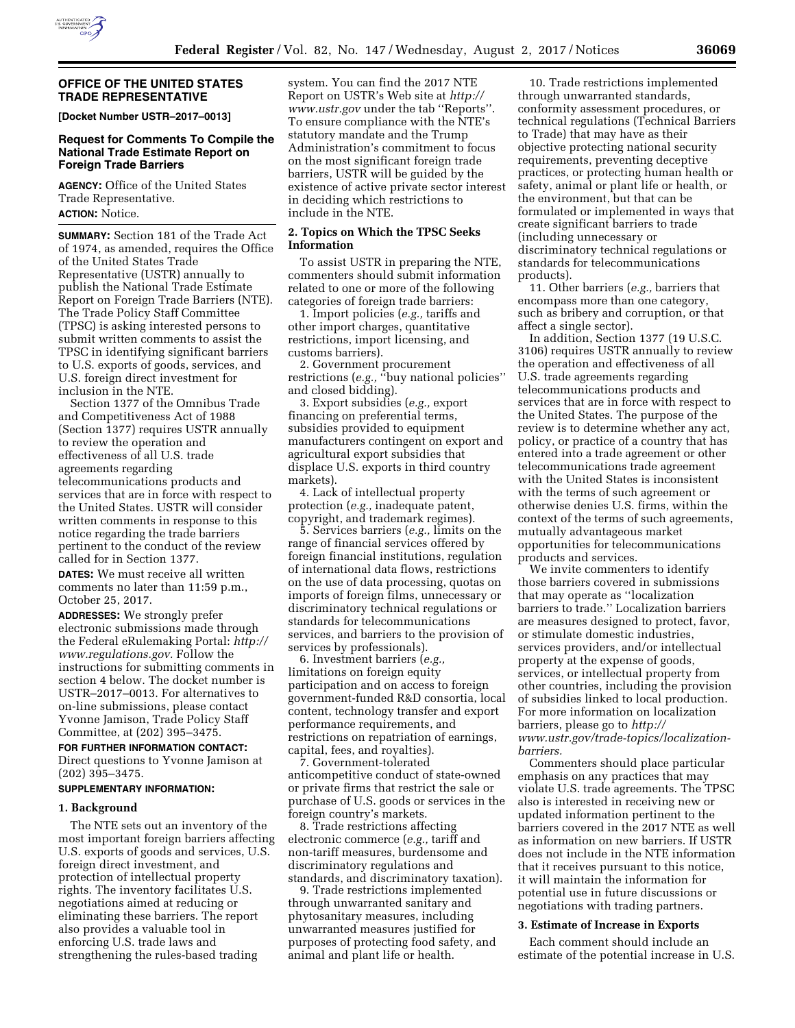

### **OFFICE OF THE UNITED STATES TRADE REPRESENTATIVE**

**[Docket Number USTR–2017–0013]** 

## **Request for Comments To Compile the National Trade Estimate Report on Foreign Trade Barriers**

**AGENCY:** Office of the United States Trade Representative. **ACTION:** Notice.

**SUMMARY:** Section 181 of the Trade Act of 1974, as amended, requires the Office of the United States Trade Representative (USTR) annually to publish the National Trade Estimate Report on Foreign Trade Barriers (NTE). The Trade Policy Staff Committee (TPSC) is asking interested persons to submit written comments to assist the TPSC in identifying significant barriers to U.S. exports of goods, services, and U.S. foreign direct investment for inclusion in the NTE.

Section 1377 of the Omnibus Trade and Competitiveness Act of 1988 (Section 1377) requires USTR annually to review the operation and effectiveness of all U.S. trade agreements regarding telecommunications products and services that are in force with respect to the United States. USTR will consider written comments in response to this notice regarding the trade barriers pertinent to the conduct of the review called for in Section 1377.

**DATES:** We must receive all written comments no later than 11:59 p.m., October 25, 2017.

**ADDRESSES:** We strongly prefer electronic submissions made through the Federal eRulemaking Portal: *[http://](http://www.regulations.gov) [www.regulations.gov.](http://www.regulations.gov)* Follow the instructions for submitting comments in section 4 below. The docket number is USTR–2017–0013. For alternatives to on-line submissions, please contact Yvonne Jamison, Trade Policy Staff Committee, at (202) 395–3475.

#### **FOR FURTHER INFORMATION CONTACT:**

Direct questions to Yvonne Jamison at (202) 395–3475.

## **SUPPLEMENTARY INFORMATION:**

## **1. Background**

The NTE sets out an inventory of the most important foreign barriers affecting U.S. exports of goods and services, U.S. foreign direct investment, and protection of intellectual property rights. The inventory facilitates U.S. negotiations aimed at reducing or eliminating these barriers. The report also provides a valuable tool in enforcing U.S. trade laws and strengthening the rules-based trading

system. You can find the 2017 NTE Report on USTR's Web site at *[http://](http://www.ustr.gov) [www.ustr.gov](http://www.ustr.gov)* under the tab ''Reports''. To ensure compliance with the NTE's statutory mandate and the Trump Administration's commitment to focus on the most significant foreign trade barriers, USTR will be guided by the existence of active private sector interest in deciding which restrictions to include in the NTE.

### **2. Topics on Which the TPSC Seeks Information**

To assist USTR in preparing the NTE, commenters should submit information related to one or more of the following categories of foreign trade barriers:

1. Import policies (*e.g.,* tariffs and other import charges, quantitative restrictions, import licensing, and customs barriers).

2. Government procurement restrictions (*e.g.,* ''buy national policies'' and closed bidding).

3. Export subsidies (*e.g.,* export financing on preferential terms, subsidies provided to equipment manufacturers contingent on export and agricultural export subsidies that displace U.S. exports in third country markets).

4. Lack of intellectual property protection (*e.g.,* inadequate patent, copyright, and trademark regimes).

5. Services barriers (*e.g.,* limits on the range of financial services offered by foreign financial institutions, regulation of international data flows, restrictions on the use of data processing, quotas on imports of foreign films, unnecessary or discriminatory technical regulations or standards for telecommunications services, and barriers to the provision of services by professionals).

6. Investment barriers (*e.g.,*  limitations on foreign equity participation and on access to foreign government-funded R&D consortia, local content, technology transfer and export performance requirements, and restrictions on repatriation of earnings, capital, fees, and royalties).

7. Government-tolerated anticompetitive conduct of state-owned or private firms that restrict the sale or purchase of U.S. goods or services in the foreign country's markets.

8. Trade restrictions affecting electronic commerce (*e.g.,* tariff and non-tariff measures, burdensome and discriminatory regulations and standards, and discriminatory taxation).

9. Trade restrictions implemented through unwarranted sanitary and phytosanitary measures, including unwarranted measures justified for purposes of protecting food safety, and animal and plant life or health.

10. Trade restrictions implemented through unwarranted standards, conformity assessment procedures, or technical regulations (Technical Barriers to Trade) that may have as their objective protecting national security requirements, preventing deceptive practices, or protecting human health or safety, animal or plant life or health, or the environment, but that can be formulated or implemented in ways that create significant barriers to trade (including unnecessary or discriminatory technical regulations or standards for telecommunications products).

11. Other barriers (*e.g.,* barriers that encompass more than one category, such as bribery and corruption, or that affect a single sector).

In addition, Section 1377 (19 U.S.C. 3106) requires USTR annually to review the operation and effectiveness of all U.S. trade agreements regarding telecommunications products and services that are in force with respect to the United States. The purpose of the review is to determine whether any act, policy, or practice of a country that has entered into a trade agreement or other telecommunications trade agreement with the United States is inconsistent with the terms of such agreement or otherwise denies U.S. firms, within the context of the terms of such agreements, mutually advantageous market opportunities for telecommunications products and services.

We invite commenters to identify those barriers covered in submissions that may operate as ''localization barriers to trade.'' Localization barriers are measures designed to protect, favor, or stimulate domestic industries, services providers, and/or intellectual property at the expense of goods, services, or intellectual property from other countries, including the provision of subsidies linked to local production. For more information on localization barriers, please go to *[http://](http://www.ustr.gov) [www.ustr.gov/](http://www.ustr.gov)trade-topics/localizationbarriers.* 

Commenters should place particular emphasis on any practices that may violate U.S. trade agreements. The TPSC also is interested in receiving new or updated information pertinent to the barriers covered in the 2017 NTE as well as information on new barriers. If USTR does not include in the NTE information that it receives pursuant to this notice, it will maintain the information for potential use in future discussions or negotiations with trading partners.

### **3. Estimate of Increase in Exports**

Each comment should include an estimate of the potential increase in U.S.